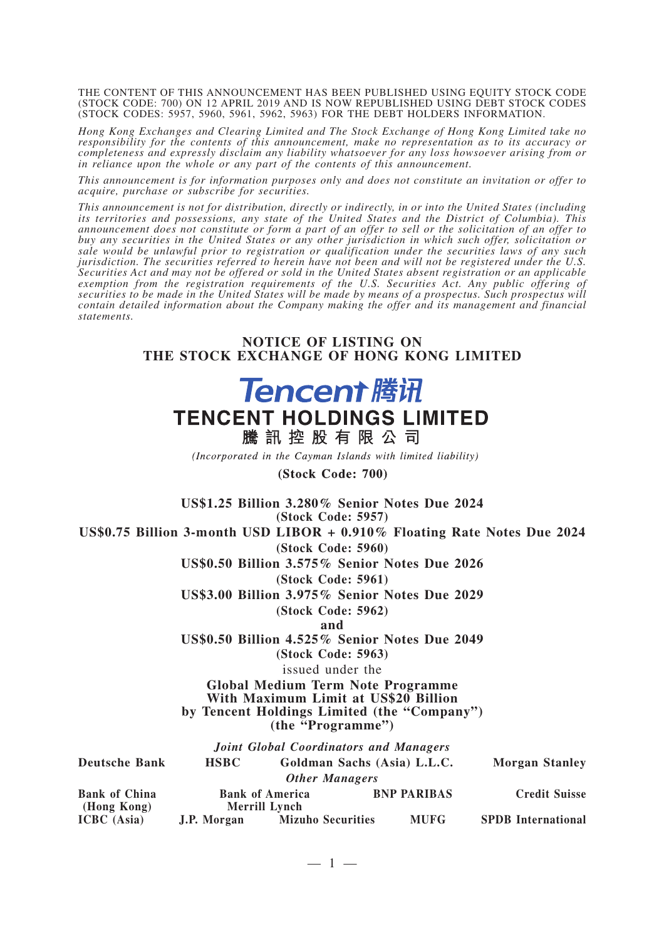THE CONTENT OF THIS ANNOUNCEMENT HAS BEEN PUBLISHED USING EQUITY STOCK CODE (STOCK CODE: 700) ON 12 APRIL 2019 AND IS NOW REPUBLISHED USING DEBT STOCK CODES (STOCK CODES: 5957, 5960, 5961, 5962, 5963) FOR THE DEBT HOLDERS INFORMATION.

*Hong Kong Exchanges and Clearing Limited and The Stock Exchange of Hong Kong Limited take no responsibility for the contents of this announcement, make no representation as to its accuracy or completeness and expressly disclaim any liability whatsoever for any loss howsoever arising from or in reliance upon the whole or any part of the contents of this announcement.*

*This announcement is for information purposes only and does not constitute an invitation or offer to acquire, purchase or subscribe for securities.*

*This announcement is not for distribution, directly or indirectly, in or into the United States (including its territories and possessions, any state of the United States and the District of Columbia). This announcement does not constitute or form a part of an offer to sell or the solicitation of an offer to buy any securities in the United States or any other jurisdiction in which such offer, solicitation or sale would be unlawful prior to registration or qualification under the securities laws of any such jurisdiction. The securities referred to herein have not been and will not be registered under the U.S. Securities Act and may not be offered or sold in the United States absent registration or an applicable exemption from the registration requirements of the U.S. Securities Act. Any public offering of securities to be made in the United States will be made by means of a prospectus. Such prospectus will contain detailed information about the Company making the offer and its management and financial statements.*

## **NOTICE OF LISTING ON THE STOCK EXCHANGE OF HONG KONG LIMITED**

## **Tencent 腾讯 TENCENT HOLDINGS LIMITED** 騰訊控股有限公司

(Incorporated in the Cayman Islands with limited liability)

(Stock Code: 700)

**US\$1.25 Billion 3.280% Senior Notes Due 2024 (Stock Code: 5957) US\$0.75 Billion 3-month USD LIBOR + 0.910% Floating Rate Notes Due 2024 (Stock Code: 5960) US\$0.50 Billion 3.575% Senior Notes Due 2026 (Stock Code: 5961) US\$3.00 Billion 3.975% Senior Notes Due 2029 (Stock Code: 5962) and US\$0.50 Billion 4.525% Senior Notes Due 2049 (Stock Code: 5963)** issued under the **Global Medium Term Note Programme With Maximum Limit at US\$20 Billion by Tencent Holdings Limited (the "Company") (the "Programme")** *Joint Global Coordinators and Managers* **Deutsche Bank HSBC Goldman Sachs (Asia) L.L.C. Morgan Stanley** *Other Managers* **Bank of China (Hong Kong) Bank of America Merrill Lynch BNP PARIBAS Credit Suisse ICBC (Asia) J.P. Morgan Mizuho Securities MUFG SPDB International**